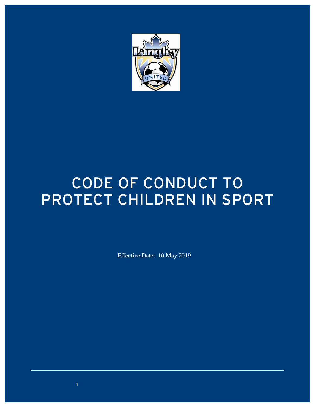

# CODE OF CONDUCT TO Protect Children in Sport

Effective Date: 10 May 2019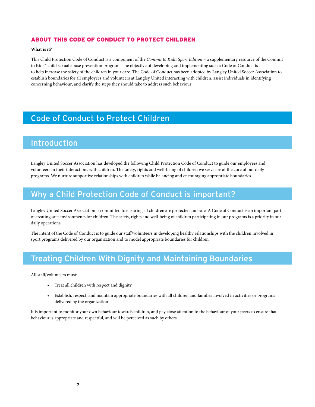#### About this Code of ConduCt to ProteCt Children

#### **What is it?**

This Child Protection Code of Conduct is a component of the *Commit to Kids: Sport Edition* – a supplementary resource of the Commit to Kids™ child sexual abuse prevention program. The objective of developing and implementing such a Code of Conduct is to help increase the safety of the children in your care. The Code of Conduct has been adopted by Langley United Soccer Association to establish boundaries for all employees and volunteers at Langley United interacting with children, assist individuals in identifying concerning behaviour, and clarify the steps they should take to address such behaviour.

## Code of Conduct to Protect Children

#### Introduction

Langley United Soccer Association has developed the following Child Protection Code of Conduct to guide our employees and volunteers in their interactions with children. The safety, rights and well-being of children we serve are at the core of our daily programs. We nurture supportive relationships with children while balancing and encouraging appropriate boundaries.

#### Why a Child Protection Code of Conduct is important?

Langley United Soccer Association is committed to ensuring all children are protected and safe. A Code of Conduct is an important part of creating safe environments for children. The safety, rights and well-being of children participating in our programs is a priority in our daily operations.

The intent of the Code of Conduct is to guide our staff/volunteers in developing healthy relationships with the children involved in sport programs delivered by our organization and to model appropriate boundaries for children.

#### **Treating Children With Dignity and Maintaining Boundaries**

All staff/volunteers must:

- Treat all children with respect and dignity
- Establish, respect, and maintain appropriate boundaries with all children and families involved in activities or programs delivered by the organization

It is important to monitor your own behaviour towards children, and pay close attention to the behaviour of your peers to ensure that behaviour is appropriate and respectful, and will be perceived as such by others.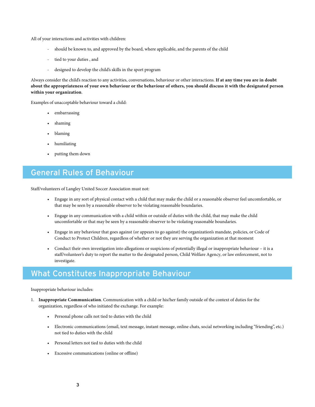All of your interactions and activities with children:

- should be known to, and approved by the board, where applicable, and the parents of the child
- tied to your duties, and
- designed to develop the child's skills in the sport program

Always consider the child's reaction to any activities, conversations, behaviour or other interactions. **If at any time you are in doubt about the appropriateness of your own behaviour or the behaviour of others, you should discuss it with the designated person within your organization**.

Examples of unacceptable behaviour toward a child:

- embarrassing
- shaming
- blaming
- humiliating
- putting them down

#### General Rules of Behaviour

Staff/volunteers of Langley United Soccer Association must not:

- Engage in any sort of physical contact with a child that may make the child or a reasonable observer feel uncomfortable, or that may be seen by a reasonable observer to be violating reasonable boundaries.
- Engage in any communication with a child within or outside of duties with the child, that may make the child uncomfortable or that may be seen by a reasonable observer to be violating reasonable boundaries.
- Engage in any behaviour that goes against (or appears to go against) the organization's mandate, policies, or Code of Conduct to Protect Children, regardless of whether or not they are serving the organization at that moment
- Conduct their own investigation into allegations or suspicions of potentially illegal or inappropriate behaviour it is a staff/volunteer's duty to report the matter to the designated person, Child Welfare Agency, or law enforcement, not to investigate.

### What Constitutes Inappropriate Behaviour

Inappropriate behaviour includes:

- 1. **Inappropriate Communication**. Communication with a child or his/her family outside of the context of duties for the organization, regardless of who initiated the exchange. For example:
	- Personal phone calls not tied to duties with the child
	- Electronic communications (email, text message, instant message, online chats, social networking including "friending", etc.) not tied to duties with the child
	- Personal letters not tied to duties with the child
	- Excessive communications (online or offline)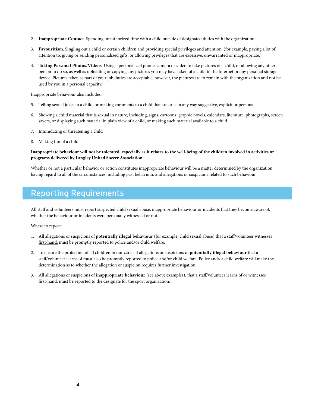- 2. **Inappropriate Contact**. Spending unauthorized time with a child outside of designated duties with the organization.
- 3. **Favouritism**. Singling out a child or certain children and providing special privileges and attention. (for example, paying a lot of attention to, giving or sending personalized gifts, or allowing privileges that are excessive, unwarranted or inappropriate.)
- 4. **Taking Personal Photos/Videos**. Using a personal cell phone, camera or video to take pictures of a child, or allowing any other person to do so, as well as uploading or copying any pictures you may have taken of a child to the Internet or any personal storage device. Pictures taken as part of your job duties are acceptable, however, the pictures are to remain with the organization and not be used by you in a personal capacity.

Inappropriate behaviour also includes:

- 5. Telling sexual jokes to a child, or making comments to a child that are or is in any way suggestive, explicit or personal.
- 6. Showing a child material that is sexual in nature, including, signs, cartoons, graphic novels, calendars, literature, photographs, screen savers, or displaying such material in plain view of a child, or making such material available to a child
- 7. Intimidating or threatening a child
- 8. Making fun of a child

#### **Inappropriate behaviour will not be tolerated, especially as it relates to the well-being of the children involved in activities or programs delivered by Langley United Soccer Association.**

Whether or not a particular behavior or action constitutes inappropriate behaviour will be a matter determined by the organization having regard to all of the circumstances, including past behaviour, and allegations or suspicions related to such behaviour.

## Reporting Requirements

All staff and volunteers must report suspected child sexual abuse, inappropriate behaviour or incidents that they become aware of, whether the behaviour or incidents were personally witnessed or not.

Where to report:

- 1. All allegations or suspicions of **potentially illegal behaviour** (for example, child sexual abuse) that a staff/volunteer witnesses first-hand, must be promptly reported to police and/or child welfare.
- 2. To ensure the protection of all children in our care, all allegations or suspicions of **potentially illegal behaviour** that a staff/volunteer learns of must also be promptly reported to police and/or child welfare. Police and/or child welfare will make the determination as to whether the allegation or suspicion requires further investigation.
- 3. All allegations or suspicions of **inappropriate behaviour** (see above examples), that a staff/volunteer learns of or witnesses first-hand, must be reported to the designate for the sport organization.